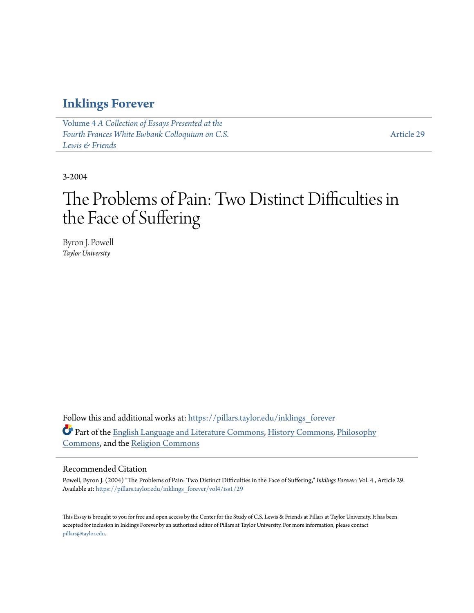### **[Inklings Forever](https://pillars.taylor.edu/inklings_forever?utm_source=pillars.taylor.edu%2Finklings_forever%2Fvol4%2Fiss1%2F29&utm_medium=PDF&utm_campaign=PDFCoverPages)**

Volume 4 *[A Collection of Essays Presented at the](https://pillars.taylor.edu/inklings_forever/vol4?utm_source=pillars.taylor.edu%2Finklings_forever%2Fvol4%2Fiss1%2F29&utm_medium=PDF&utm_campaign=PDFCoverPages) [Fourth Frances White Ewbank Colloquium on C.S.](https://pillars.taylor.edu/inklings_forever/vol4?utm_source=pillars.taylor.edu%2Finklings_forever%2Fvol4%2Fiss1%2F29&utm_medium=PDF&utm_campaign=PDFCoverPages) [Lewis & Friends](https://pillars.taylor.edu/inklings_forever/vol4?utm_source=pillars.taylor.edu%2Finklings_forever%2Fvol4%2Fiss1%2F29&utm_medium=PDF&utm_campaign=PDFCoverPages)*

[Article 29](https://pillars.taylor.edu/inklings_forever/vol4/iss1/29?utm_source=pillars.taylor.edu%2Finklings_forever%2Fvol4%2Fiss1%2F29&utm_medium=PDF&utm_campaign=PDFCoverPages)

3-2004

# The Problems of Pain: Two Distinct Difficulties in the Face of Suffering

Byron J. Powell *Taylor University*

Follow this and additional works at: [https://pillars.taylor.edu/inklings\\_forever](https://pillars.taylor.edu/inklings_forever?utm_source=pillars.taylor.edu%2Finklings_forever%2Fvol4%2Fiss1%2F29&utm_medium=PDF&utm_campaign=PDFCoverPages) Part of the [English Language and Literature Commons](http://network.bepress.com/hgg/discipline/455?utm_source=pillars.taylor.edu%2Finklings_forever%2Fvol4%2Fiss1%2F29&utm_medium=PDF&utm_campaign=PDFCoverPages), [History Commons,](http://network.bepress.com/hgg/discipline/489?utm_source=pillars.taylor.edu%2Finklings_forever%2Fvol4%2Fiss1%2F29&utm_medium=PDF&utm_campaign=PDFCoverPages) [Philosophy](http://network.bepress.com/hgg/discipline/525?utm_source=pillars.taylor.edu%2Finklings_forever%2Fvol4%2Fiss1%2F29&utm_medium=PDF&utm_campaign=PDFCoverPages) [Commons,](http://network.bepress.com/hgg/discipline/525?utm_source=pillars.taylor.edu%2Finklings_forever%2Fvol4%2Fiss1%2F29&utm_medium=PDF&utm_campaign=PDFCoverPages) and the [Religion Commons](http://network.bepress.com/hgg/discipline/538?utm_source=pillars.taylor.edu%2Finklings_forever%2Fvol4%2Fiss1%2F29&utm_medium=PDF&utm_campaign=PDFCoverPages)

#### Recommended Citation

Powell, Byron J. (2004) "The Problems of Pain: Two Distinct Difficulties in the Face of Suffering," *Inklings Forever*: Vol. 4 , Article 29. Available at: [https://pillars.taylor.edu/inklings\\_forever/vol4/iss1/29](https://pillars.taylor.edu/inklings_forever/vol4/iss1/29?utm_source=pillars.taylor.edu%2Finklings_forever%2Fvol4%2Fiss1%2F29&utm_medium=PDF&utm_campaign=PDFCoverPages)

This Essay is brought to you for free and open access by the Center for the Study of C.S. Lewis & Friends at Pillars at Taylor University. It has been accepted for inclusion in Inklings Forever by an authorized editor of Pillars at Taylor University. For more information, please contact [pillars@taylor.edu.](mailto:pillars@taylor.edu)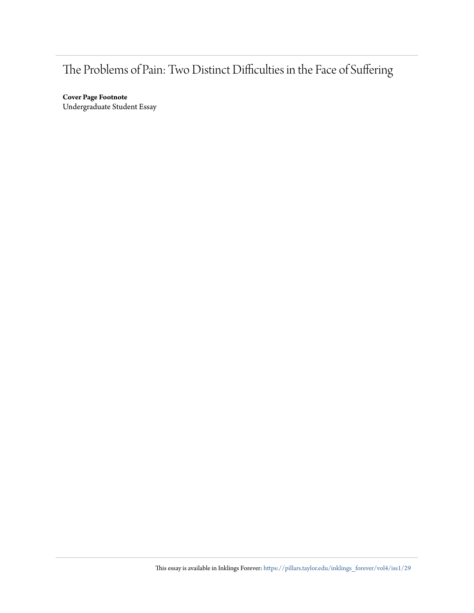## The Problems of Pain: Two Distinct Difficulties in the Face of Suffering

**Cover Page Footnote** Undergraduate Student Essay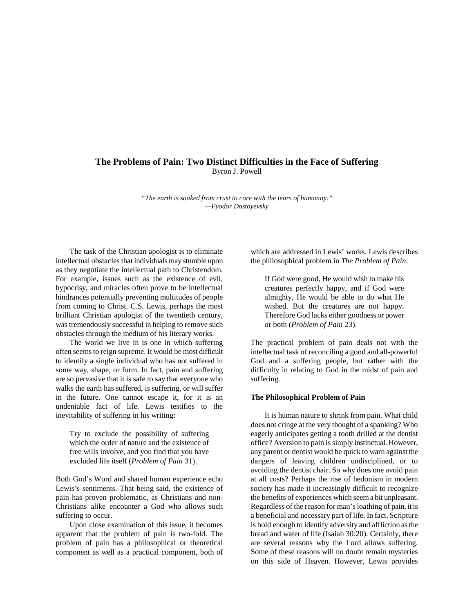#### **The Problems of Pain: Two Distinct Difficulties in the Face of Suffering** Byron J. Powell

*"The earth is soaked from crust to core with the tears of humanity." —Fyodor Dostoyevsky*

The task of the Christian apologist is to eliminate intellectual obstacles that individuals may stumble upon as they negotiate the intellectual path to Christendom. For example, issues such as the existence of evil, hypocrisy, and miracles often prove to be intellectual hindrances potentially preventing multitudes of people from coming to Christ. C.S. Lewis, perhaps the most brilliant Christian apologist of the twentieth century, was tremendously successful in helping to remove such obstacles through the medium of his literary works.

The world we live in is one in which suffering often seems to reign supreme. It would be most difficult to identify a single individual who has not suffered in some way, shape, or form. In fact, pain and suffering are so pervasive that it is safe to say that everyone who walks the earth has suffered, is suffering, or will suffer in the future. One cannot escape it, for it is an undeniable fact of life. Lewis testifies to the inevitability of suffering in his writing:

Try to exclude the possibility of suffering which the order of nature and the existence of free wills involve, and you find that you have excluded life itself (*Problem of Pain* 31).

Both God's Word and shared human experience echo Lewis's sentiments. That being said, the existence of pain has proven problematic, as Christians and non-Christians alike encounter a God who allows such suffering to occur.

Upon close examination of this issue, it becomes apparent that the problem of pain is two-fold. The problem of pain has a philosophical or theoretical component as well as a practical component, both of which are addressed in Lewis' works. Lewis describes the philosophical problem in *The Problem of Pain*:

If God were good, He would wish to make his creatures perfectly happy, and if God were almighty, He would be able to do what He wished. But the creatures are not happy. Therefore God lacks either goodness or power or both (*Problem of Pain* 23).

The practical problem of pain deals not with the intellectual task of reconciling a good and all-powerful God and a suffering people, but rather with the difficulty in relating to God in the midst of pain and suffering.

#### **The Philosophical Problem of Pain**

It is human nature to shrink from pain. What child does not cringe at the very thought of a spanking? Who eagerly anticipates getting a tooth drilled at the dentist office? Aversion to pain is simply instinctual. However, any parent or dentist would be quick to warn against the dangers of leaving children undisciplined, or to avoiding the dentist chair. So why does one avoid pain at all costs? Perhaps the rise of hedonism in modern society has made it increasingly difficult to recognize the benefits of experiences which seem a bit unpleasant. Regardless of the reason for man's loathing of pain, it is a beneficial and necessary part of life. In fact, Scripture is bold enough to identify adversity and affliction as the bread and water of life (Isaiah 30:20). Certainly, there are several reasons why the Lord allows suffering. Some of these reasons will no doubt remain mysteries on this side of Heaven. However, Lewis provides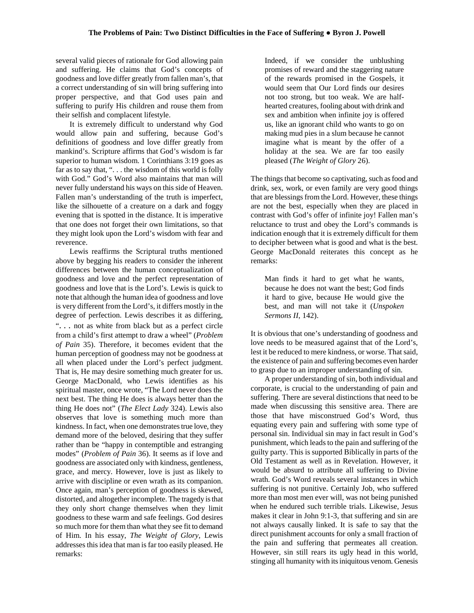several valid pieces of rationale for God allowing pain and suffering. He claims that God's concepts of goodness and love differ greatly from fallen man's, that a correct understanding of sin will bring suffering into proper perspective, and that God uses pain and suffering to purify His children and rouse them from their selfish and complacent lifestyle.

It is extremely difficult to understand why God would allow pain and suffering, because God's definitions of goodness and love differ greatly from mankind's. Scripture affirms that God's wisdom is far superior to human wisdom. 1 Corinthians 3:19 goes as far as to say that, "... the wisdom of this world is folly with God." God's Word also maintains that man will never fully understand his ways on this side of Heaven. Fallen man's understanding of the truth is imperfect, like the silhouette of a creature on a dark and foggy evening that is spotted in the distance. It is imperative that one does not forget their own limitations, so that they might look upon the Lord's wisdom with fear and reverence.

Lewis reaffirms the Scriptural truths mentioned above by begging his readers to consider the inherent differences between the human conceptualization of goodness and love and the perfect representation of goodness and love that is the Lord's. Lewis is quick to note that although the human idea of goodness and love is very different from the Lord's, it differs mostly in the degree of perfection. Lewis describes it as differing, ". . . not as white from black but as a perfect circle from a child's first attempt to draw a wheel" (*Problem of Pain* 35). Therefore, it becomes evident that the human perception of goodness may not be goodness at all when placed under the Lord's perfect judgment. That is, He may desire something much greater for us. George MacDonald, who Lewis identifies as his spiritual master, once wrote, "The Lord never does the next best. The thing He does is always better than the thing He does not" (*The Elect Lady* 324). Lewis also observes that love is something much more than kindness. In fact, when one demonstrates true love, they demand more of the beloved, desiring that they suffer rather than be "happy in contemptible and estranging modes" (*Problem of Pain* 36). It seems as if love and goodness are associated only with kindness, gentleness, grace, and mercy. However, love is just as likely to arrive with discipline or even wrath as its companion. Once again, man's perception of goodness is skewed, distorted, and altogether incomplete. The tragedy is that they only short change themselves when they limit goodness to these warm and safe feelings. God desires so much more for them than what they see fit to demand of Him. In his essay, *The Weight of Glory*, Lewis addresses this idea that man is far too easily pleased. He remarks:

Indeed, if we consider the unblushing promises of reward and the staggering nature of the rewards promised in the Gospels, it would seem that Our Lord finds our desires not too strong, but too weak. We are halfhearted creatures, fooling about with drink and sex and ambition when infinite joy is offered us, like an ignorant child who wants to go on making mud pies in a slum because he cannot imagine what is meant by the offer of a holiday at the sea. We are far too easily pleased (*The Weight of Glory* 26).

The things that become so captivating, such as food and drink, sex, work, or even family are very good things that are blessings from the Lord. However, these things are not the best, especially when they are placed in contrast with God's offer of infinite joy! Fallen man's reluctance to trust and obey the Lord's commands is indication enough that it is extremely difficult for them to decipher between what is good and what is the best. George MacDonald reiterates this concept as he remarks:

Man finds it hard to get what he wants, because he does not want the best; God finds it hard to give, because He would give the best, and man will not take it (*Unspoken Sermons II*, 142).

It is obvious that one's understanding of goodness and love needs to be measured against that of the Lord's, lest it be reduced to mere kindness, or worse. That said, the existence of pain and suffering becomes even harder to grasp due to an improper understanding of sin.

A proper understanding of sin, both individual and corporate, is crucial to the understanding of pain and suffering. There are several distinctions that need to be made when discussing this sensitive area. There are those that have misconstrued God's Word, thus equating every pain and suffering with some type of personal sin. Individual sin may in fact result in God's punishment, which leads to the pain and suffering of the guilty party. This is supported Biblically in parts of the Old Testament as well as in Revelation. However, it would be absurd to attribute all suffering to Divine wrath. God's Word reveals several instances in which suffering is not punitive. Certainly Job, who suffered more than most men ever will, was not being punished when he endured such terrible trials. Likewise, Jesus makes it clear in John 9:1-3, that suffering and sin are not always causally linked. It is safe to say that the direct punishment accounts for only a small fraction of the pain and suffering that permeates all creation. However, sin still rears its ugly head in this world, stinging all humanity with its iniquitous venom. Genesis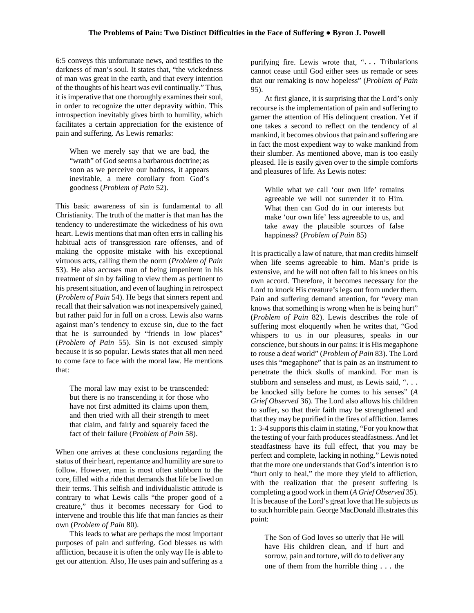6:5 conveys this unfortunate news, and testifies to the darkness of man's soul. It states that, "the wickedness of man was great in the earth, and that every intention of the thoughts of his heart was evil continually." Thus, it is imperative that one thoroughly examines their soul, in order to recognize the utter depravity within. This introspection inevitably gives birth to humility, which facilitates a certain appreciation for the existence of pain and suffering. As Lewis remarks:

When we merely say that we are bad, the "wrath" of God seems a barbarous doctrine; as soon as we perceive our badness, it appears inevitable, a mere corollary from God's goodness (*Problem of Pain* 52).

This basic awareness of sin is fundamental to all Christianity. The truth of the matter is that man has the tendency to underestimate the wickedness of his own heart. Lewis mentions that man often errs in calling his habitual acts of transgression rare offenses, and of making the opposite mistake with his exceptional virtuous acts, calling them the norm (*Problem of Pain* 53). He also accuses man of being impenitent in his treatment of sin by failing to view them as pertinent to his present situation, and even of laughing in retrospect (*Problem of Pain* 54). He begs that sinners repent and recall that their salvation was not inexpensively gained, but rather paid for in full on a cross. Lewis also warns against man's tendency to excuse sin, due to the fact that he is surrounded by "friends in low places" (*Problem of Pain* 55). Sin is not excused simply because it is so popular. Lewis states that all men need to come face to face with the moral law. He mentions that:

The moral law may exist to be transcended: but there is no transcending it for those who have not first admitted its claims upon them, and then tried with all their strength to meet that claim, and fairly and squarely faced the fact of their failure (*Problem of Pain* 58).

When one arrives at these conclusions regarding the status of their heart, repentance and humility are sure to follow. However, man is most often stubborn to the core, filled with a ride that demands that life be lived on their terms. This selfish and individualistic attitude is contrary to what Lewis calls "the proper good of a creature," thus it becomes necessary for God to intervene and trouble this life that man fancies as their own (*Problem of Pain* 80).

This leads to what are perhaps the most important purposes of pain and suffering. God blesses us with affliction, because it is often the only way He is able to get our attention. Also, He uses pain and suffering as a

purifying fire. Lewis wrote that, "... Tribulations cannot cease until God either sees us remade or sees that our remaking is now hopeless" (*Problem of Pain* 95).

At first glance, it is surprising that the Lord's only recourse is the implementation of pain and suffering to garner the attention of His delinquent creation. Yet if one takes a second to reflect on the tendency of al mankind, it becomes obvious that pain and suffering are in fact the most expedient way to wake mankind from their slumber. As mentioned above, man is too easily pleased. He is easily given over to the simple comforts and pleasures of life. As Lewis notes:

While what we call 'our own life' remains agreeable we will not surrender it to Him. What then can God do in our interests but make 'our own life' less agreeable to us, and take away the plausible sources of false happiness? (*Problem of Pain* 85)

It is practically a law of nature, that man credits himself when life seems agreeable to him. Man's pride is extensive, and he will not often fall to his knees on his own accord. Therefore, it becomes necessary for the Lord to knock His creature's legs out from under them. Pain and suffering demand attention, for "every man knows that something is wrong when he is being hurt" (*Problem of Pain* 82). Lewis describes the role of suffering most eloquently when he writes that, "God whispers to us in our pleasures, speaks in our conscience, but shouts in our pains: it is His megaphone to rouse a deaf world" (*Problem of Pain* 83). The Lord uses this "megaphone" that is pain as an instrument to penetrate the thick skulls of mankind. For man is stubborn and senseless and must, as Lewis said, ". . . be knocked silly before he comes to his senses" (*A Grief Observed* 36). The Lord also allows his children to suffer, so that their faith may be strengthened and that they may be purified in the fires of affliction. James 1: 3-4 supports this claim in stating, "For you know that the testing of your faith produces steadfastness. And let steadfastness have its full effect, that you may be perfect and complete, lacking in nothing." Lewis noted that the more one understands that God's intention is to "hurt only to heal," the more they yield to affliction, with the realization that the present suffering is completing a good work in them (*A Grief Observed* 35). It is because of the Lord's great love that He subjects us to such horrible pain. George MacDonald illustrates this point:

The Son of God loves so utterly that He will have His children clean, and if hurt and sorrow, pain and torture, will do to deliver any one of them from the horrible thing . . . the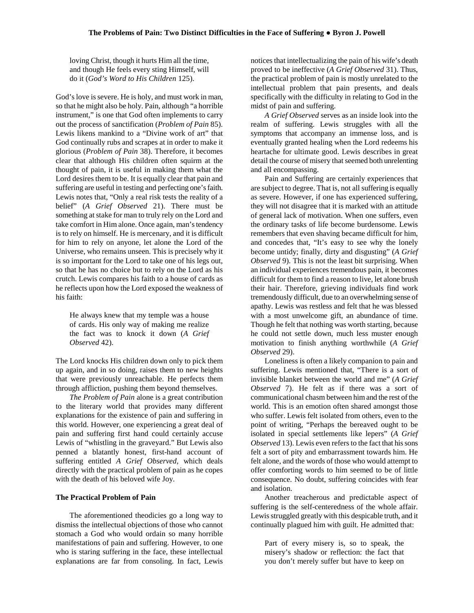loving Christ, though it hurts Him all the time, and though He feels every sting Himself, will do it (*God's Word to His Children* 125).

God's love is severe. He is holy, and must work in man, so that he might also be holy. Pain, although "a horrible instrument," is one that God often implements to carry out the process of sanctification (*Problem of Pain* 85). Lewis likens mankind to a "Divine work of art" that God continually rubs and scrapes at in order to make it glorious (*Problem of Pain* 38). Therefore, it becomes clear that although His children often squirm at the thought of pain, it is useful in making them what the Lord desires them to be. It is equally clear that pain and suffering are useful in testing and perfecting one's faith. Lewis notes that, "Only a real risk tests the reality of a belief" (*A Grief Observed* 21). There must be something at stake for man to truly rely on the Lord and take comfort in Him alone. Once again, man's tendency is to rely on himself. He is mercenary, and it is difficult for him to rely on anyone, let alone the Lord of the Universe, who remains unseen. This is precisely why it is so important for the Lord to take one of his legs out, so that he has no choice but to rely on the Lord as his crutch. Lewis compares his faith to a house of cards as he reflects upon how the Lord exposed the weakness of his faith:

He always knew that my temple was a house of cards. His only way of making me realize the fact was to knock it down (*A Grief Observed* 42).

The Lord knocks His children down only to pick them up again, and in so doing, raises them to new heights that were previously unreachable. He perfects them through affliction, pushing them beyond themselves.

*The Problem of Pain* alone is a great contribution to the literary world that provides many different explanations for the existence of pain and suffering in this world. However, one experiencing a great deal of pain and suffering first hand could certainly accuse Lewis of "whistling in the graveyard." But Lewis also penned a blatantly honest, first-hand account of suffering entitled *A Grief Observed*, which deals directly with the practical problem of pain as he copes with the death of his beloved wife Joy.

#### **The Practical Problem of Pain**

The aforementioned theodicies go a long way to dismiss the intellectual objections of those who cannot stomach a God who would ordain so many horrible manifestations of pain and suffering. However, to one who is staring suffering in the face, these intellectual explanations are far from consoling. In fact, Lewis

notices that intellectualizing the pain of his wife's death proved to be ineffective (*A Grief Observed* 31). Thus, the practical problem of pain is mostly unrelated to the intellectual problem that pain presents, and deals specifically with the difficulty in relating to God in the midst of pain and suffering.

*A Grief Observed* serves as an inside look into the realm of suffering. Lewis struggles with all the symptoms that accompany an immense loss, and is eventually granted healing when the Lord redeems his heartache for ultimate good. Lewis describes in great detail the course of misery that seemed both unrelenting and all encompassing.

Pain and Suffering are certainly experiences that are subject to degree. That is, not all suffering is equally as severe. However, if one has experienced suffering, they will not disagree that it is marked with an attitude of general lack of motivation. When one suffers, even the ordinary tasks of life become burdensome. Lewis remembers that even shaving became difficult for him, and concedes that, "It's easy to see why the lonely become untidy; finally, dirty and disgusting" (*A Grief Observed* 9). This is not the least bit surprising. When an individual experiences tremendous pain, it becomes difficult for them to find a reason to live, let alone brush their hair. Therefore, grieving individuals find work tremendously difficult, due to an overwhelming sense of apathy. Lewis was restless and felt that he was blessed with a most unwelcome gift, an abundance of time. Though he felt that nothing was worth starting, because he could not settle down, much less muster enough motivation to finish anything worthwhile (*A Grief Observed* 29).

Loneliness is often a likely companion to pain and suffering. Lewis mentioned that, "There is a sort of invisible blanket between the world and me" (*A Grief Observed* 7). He felt as if there was a sort of communicational chasm between him and the rest of the world. This is an emotion often shared amongst those who suffer. Lewis felt isolated from others, even to the point of writing, "Perhaps the bereaved ought to be isolated in special settlements like lepers" (*A Grief Observed* 13). Lewis even refers to the fact that his sons felt a sort of pity and embarrassment towards him. He felt alone, and the words of those who would attempt to offer comforting words to him seemed to be of little consequence. No doubt, suffering coincides with fear and isolation.

Another treacherous and predictable aspect of suffering is the self-centeredness of the whole affair. Lewis struggled greatly with this despicable truth, and it continually plagued him with guilt. He admitted that:

Part of every misery is, so to speak, the misery's shadow or reflection: the fact that you don't merely suffer but have to keep on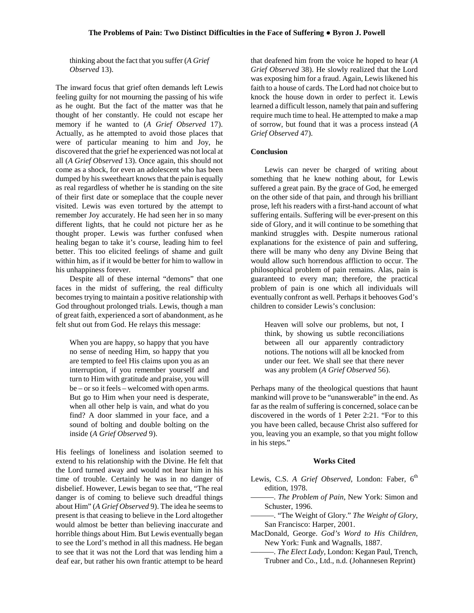thinking about the fact that you suffer (*A Grief Observed* 13).

The inward focus that grief often demands left Lewis feeling guilty for not mourning the passing of his wife as he ought. But the fact of the matter was that he thought of her constantly. He could not escape her memory if he wanted to (*A Grief Observed* 17). Actually, as he attempted to avoid those places that were of particular meaning to him and Joy, he discovered that the grief he experienced was not local at all (*A Grief Observed* 13). Once again, this should not come as a shock, for even an adolescent who has been dumped by his sweetheart knows that the pain is equally as real regardless of whether he is standing on the site of their first date or someplace that the couple never visited. Lewis was even tortured by the attempt to remember Joy accurately. He had seen her in so many different lights, that he could not picture her as he thought proper. Lewis was further confused when healing began to take it's course, leading him to feel better. This too elicited feelings of shame and guilt within him, as if it would be better for him to wallow in his unhappiness forever.

Despite all of these internal "demons" that one faces in the midst of suffering, the real difficulty becomes trying to maintain a positive relationship with God throughout prolonged trials. Lewis, though a man of great faith, experienced a sort of abandonment, as he felt shut out from God. He relays this message:

When you are happy, so happy that you have no sense of needing Him, so happy that you are tempted to feel His claims upon you as an interruption, if you remember yourself and turn to Him with gratitude and praise, you will be – or so it feels – welcomed with open arms. But go to Him when your need is desperate, when all other help is vain, and what do you find? A door slammed in your face, and a sound of bolting and double bolting on the inside (*A Grief Observed* 9).

His feelings of loneliness and isolation seemed to extend to his relationship with the Divine. He felt that the Lord turned away and would not hear him in his time of trouble. Certainly he was in no danger of disbelief. However, Lewis began to see that, "The real danger is of coming to believe such dreadful things about Him" (*A Grief Observed* 9). The idea he seems to present is that ceasing to believe in the Lord altogether would almost be better than believing inaccurate and horrible things about Him. But Lewis eventually began to see the Lord's method in all this madness. He began to see that it was not the Lord that was lending him a deaf ear, but rather his own frantic attempt to be heard

that deafened him from the voice he hoped to hear (*A Grief Observed* 38). He slowly realized that the Lord was exposing him for a fraud. Again, Lewis likened his faith to a house of cards. The Lord had not choice but to knock the house down in order to perfect it. Lewis learned a difficult lesson, namely that pain and suffering require much time to heal. He attempted to make a map of sorrow, but found that it was a process instead (*A Grief Observed* 47).

#### **Conclusion**

Lewis can never be charged of writing about something that he knew nothing about, for Lewis suffered a great pain. By the grace of God, he emerged on the other side of that pain, and through his brilliant prose, left his readers with a first-hand account of what suffering entails. Suffering will be ever-present on this side of Glory, and it will continue to be something that mankind struggles with. Despite numerous rational explanations for the existence of pain and suffering, there will be many who deny any Divine Being that would allow such horrendous affliction to occur. The philosophical problem of pain remains. Alas, pain is guaranteed to every man; therefore, the practical problem of pain is one which all individuals will eventually confront as well. Perhaps it behooves God's children to consider Lewis's conclusion:

Heaven will solve our problems, but not, I think, by showing us subtle reconciliations between all our apparently contradictory notions. The notions will all be knocked from under our feet. We shall see that there never was any problem (*A Grief Observed* 56).

Perhaps many of the theological questions that haunt mankind will prove to be "unanswerable" in the end. As far as the realm of suffering is concerned, solace can be discovered in the words of 1 Peter 2:21. "For to this you have been called, because Christ also suffered for you, leaving you an example, so that you might follow in his steps."

#### **Works Cited**

- Lewis, C.S. *A Grief Observed*, London: Faber, 6<sup>th</sup> edition, 1978.
- ———. *The Problem of Pain*, New York: Simon and Schuster, 1996.
- ———. "The Weight of Glory." *The Weight of Glory*, San Francisco: Harper, 2001.
- MacDonald, George. *God's Word to His Children*, New York: Funk and Wagnalls, 1887.
	- ———. *The Elect Lady*, London: Kegan Paul, Trench, Trubner and Co., Ltd., n.d. (Johannesen Reprint)